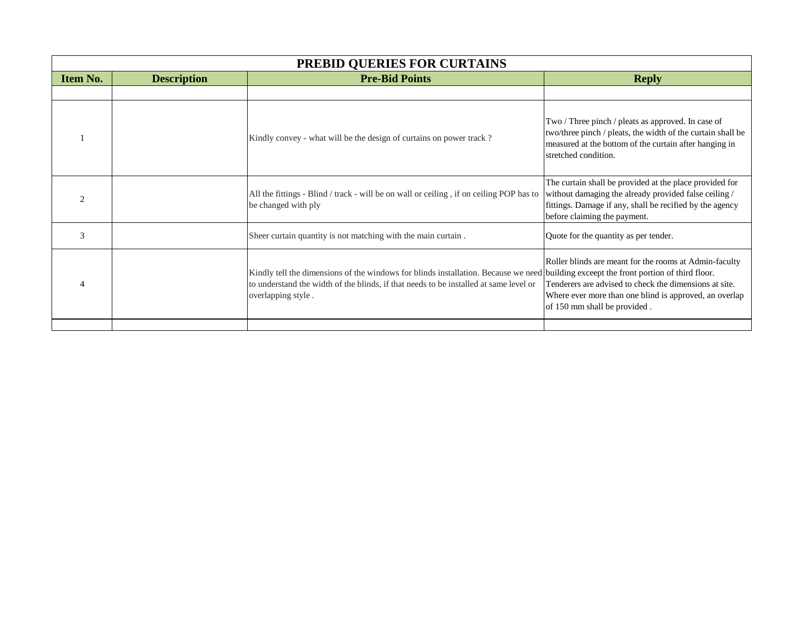| PREBID QUERIES FOR CURTAINS |                    |                                                                                                                                                                                                                                                      |                                                                                                                                                                                                              |  |  |
|-----------------------------|--------------------|------------------------------------------------------------------------------------------------------------------------------------------------------------------------------------------------------------------------------------------------------|--------------------------------------------------------------------------------------------------------------------------------------------------------------------------------------------------------------|--|--|
| <b>Item No.</b>             | <b>Description</b> | <b>Pre-Bid Points</b>                                                                                                                                                                                                                                | <b>Reply</b>                                                                                                                                                                                                 |  |  |
|                             |                    |                                                                                                                                                                                                                                                      |                                                                                                                                                                                                              |  |  |
|                             |                    | Kindly convey - what will be the design of curtains on power track?                                                                                                                                                                                  | Two / Three pinch / pleats as approved. In case of<br>two/three pinch / pleats, the width of the curtain shall be<br>measured at the bottom of the curtain after hanging in<br>stretched condition.          |  |  |
|                             |                    | All the fittings - Blind / track - will be on wall or ceiling, if on ceiling POP has to<br>be changed with ply                                                                                                                                       | The curtain shall be provided at the place provided for<br>without damaging the already provided false ceiling /<br>fittings. Damage if any, shall be recified by the agency<br>before claiming the payment. |  |  |
| 3                           |                    | Sheer curtain quantity is not matching with the main curtain.                                                                                                                                                                                        | Quote for the quantity as per tender.                                                                                                                                                                        |  |  |
|                             |                    | Kindly tell the dimensions of the windows for blinds installation. Because we need building exceept the front portion of third floor.<br>to understand the width of the blinds, if that needs to be installed at same level or<br>overlapping style. | Roller blinds are meant for the rooms at Admin-faculty<br>Tenderers are advised to check the dimensions at site.<br>Where ever more than one blind is approved, an overlap<br>of 150 mm shall be provided.   |  |  |
|                             |                    |                                                                                                                                                                                                                                                      |                                                                                                                                                                                                              |  |  |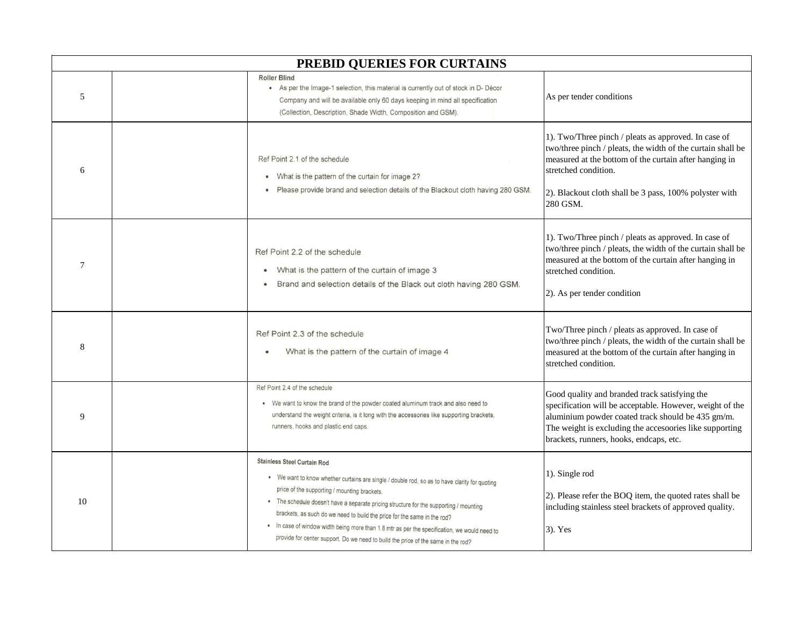| PREBID QUERIES FOR CURTAINS |  |                                                                                                                                                                                                                                                                                                                                                                                                                                                                                                                                                |                                                                                                                                                                                                                                                                             |  |
|-----------------------------|--|------------------------------------------------------------------------------------------------------------------------------------------------------------------------------------------------------------------------------------------------------------------------------------------------------------------------------------------------------------------------------------------------------------------------------------------------------------------------------------------------------------------------------------------------|-----------------------------------------------------------------------------------------------------------------------------------------------------------------------------------------------------------------------------------------------------------------------------|--|
| 5                           |  | <b>Roller Blind</b><br>• As per the Image-1 selection, this material is currently out of stock in D- Décor<br>Company and will be available only 60 days keeping in mind all specification<br>(Collection, Description, Shade Width, Composition and GSM).                                                                                                                                                                                                                                                                                     | As per tender conditions                                                                                                                                                                                                                                                    |  |
| 6                           |  | Ref Point 2.1 of the schedule<br>• What is the pattern of the curtain for image 2?<br>Please provide brand and selection details of the Blackout cloth having 280 GSM.                                                                                                                                                                                                                                                                                                                                                                         | 1). Two/Three pinch / pleats as approved. In case of<br>two/three pinch / pleats, the width of the curtain shall be<br>measured at the bottom of the curtain after hanging in<br>stretched condition.<br>2). Blackout cloth shall be 3 pass, 100% polyster with<br>280 GSM. |  |
| 7                           |  | Ref Point 2.2 of the schedule<br>What is the pattern of the curtain of image 3<br>Brand and selection details of the Black out cloth having 280 GSM.                                                                                                                                                                                                                                                                                                                                                                                           | 1). Two/Three pinch / pleats as approved. In case of<br>two/three pinch / pleats, the width of the curtain shall be<br>measured at the bottom of the curtain after hanging in<br>stretched condition.<br>2). As per tender condition                                        |  |
| 8                           |  | Ref Point 2.3 of the schedule<br>What is the pattern of the curtain of image 4<br>٠                                                                                                                                                                                                                                                                                                                                                                                                                                                            | Two/Three pinch / pleats as approved. In case of<br>two/three pinch / pleats, the width of the curtain shall be<br>measured at the bottom of the curtain after hanging in<br>stretched condition.                                                                           |  |
| 9                           |  | Ref Point 2.4 of the schedule<br>• We want to know the brand of the powder coated aluminum track and also need to<br>understand the weight criteria, is it long with the accessories like supporting brackets,<br>runners, hooks and plastic end caps.                                                                                                                                                                                                                                                                                         | Good quality and branded track satisfying the<br>specification will be acceptable. However, weight of the<br>aluminium powder coated track should be 435 gm/m.<br>The weight is excluding the accesoories like supporting<br>brackets, runners, hooks, endcaps, etc.        |  |
| 10                          |  | <b>Stainless Steel Curtain Rod</b><br>. We want to know whether curtains are single / double rod, so as to have clarity for quoting<br>price of the supporting / mounting brackets.<br>. The schedule doesn't have a separate pricing structure for the supporting / mounting<br>brackets, as such do we need to build the price for the same in the rod?<br>. In case of window width being more than 1.8 mtr as per the specification, we would need to<br>provide for center support. Do we need to build the price of the same in the rod? | 1). Single rod<br>2). Please refer the BOQ item, the quoted rates shall be<br>including stainless steel brackets of approved quality.<br>$3)$ . Yes                                                                                                                         |  |